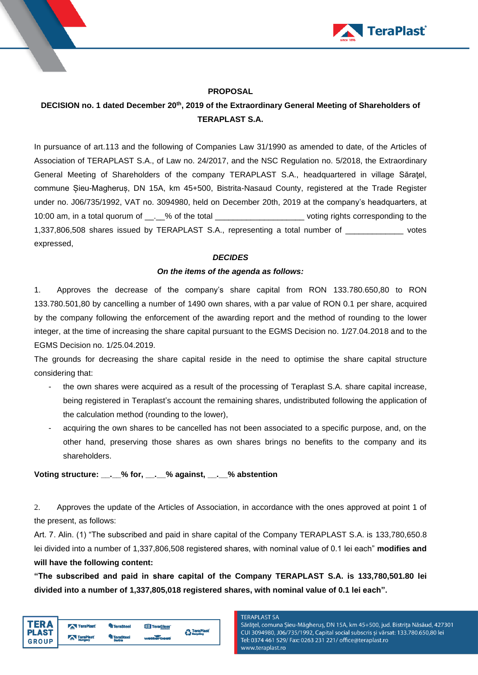

### **PROPOSAL**

# **DECISION no. 1 dated December 20 th , 2019 of the Extraordinary General Meeting of Shareholders of TERAPLAST S.A.**

In pursuance of art.113 and the following of Companies Law 31/1990 as amended to date, of the Articles of Association of TERAPLAST S.A., of Law no. 24/2017, and the NSC Regulation no. 5/2018, the Extraordinary General Meeting of Shareholders of the company TERAPLAST S.A., headquartered in village Săraţel, commune Șieu-Magheruș, DN 15A, km 45+500, Bistrita-Nasaud County, registered at the Trade Register under no. J06/735/1992, VAT no. 3094980, held on December 20th, 2019 at the company's headquarters, at 10:00 am, in a total quorum of  $\therefore$  % of the total example in the voting rights corresponding to the 1,337,806,508 shares issued by TERAPLAST S.A., representing a total number of \_\_\_\_\_\_\_\_\_\_\_\_\_ votes expressed,

#### *DECIDES*

#### *On the items of the agenda as follows:*

1. Approves the decrease of the company's share capital from RON 133.780.650,80 to RON 133.780.501,80 by cancelling a number of 1490 own shares, with a par value of RON 0.1 per share, acquired by the company following the enforcement of the awarding report and the method of rounding to the lower integer, at the time of increasing the share capital pursuant to the EGMS Decision no. 1/27.04.2018 and to the EGMS Decision no. 1/25.04.2019.

The grounds for decreasing the share capital reside in the need to optimise the share capital structure considering that:

- the own shares were acquired as a result of the processing of Teraplast S.A. share capital increase, being registered in Teraplast's account the remaining shares, undistributed following the application of the calculation method (rounding to the lower),
- acquiring the own shares to be cancelled has not been associated to a specific purpose, and, on the other hand, preserving those shares as own shares brings no benefits to the company and its shareholders.

## **Voting structure: \_\_.\_\_% for, \_\_.\_\_% against, \_\_.\_\_% abstention**

2. Approves the update of the Articles of Association, in accordance with the ones approved at point 1 of the present, as follows:

Art. 7. Alin. (1) "The subscribed and paid in share capital of the Company TERAPLAST S.A. is 133,780,650.8 lei divided into a number of 1,337,806,508 registered shares, with nominal value of 0.1 lei each" **modifies and will have the following content:**

**"The subscribed and paid in share capital of the Company TERAPLAST S.A. is 133,780,501.80 lei divided into a number of 1,337,805,018 registered shares, with nominal value of 0.1 lei each".**

| <b>TERA</b><br><b>PLAST</b><br><b>GROUP</b> | <b>TeraPlast</b> | <b>TeraSteel</b>    | <b>TeraGlass</b> | TeraPlast |
|---------------------------------------------|------------------|---------------------|------------------|-----------|
|                                             | TeraPlast        | TeraSteel<br>Serbia | wetterbest       |           |

#### **TERAPLAST SA**

Sărățel, comuna Șieu-Măgheruș, DN 15A, km 45+500, jud. Bistrița Năsăud, 427301 CUI 3094980, J06/735/1992, Capital social subscris și vărsat: 133.780.650,80 lei Tel: 0374 461 529/ Fax: 0263 231 221/ office@teraplast.ro www.teraplast.ro